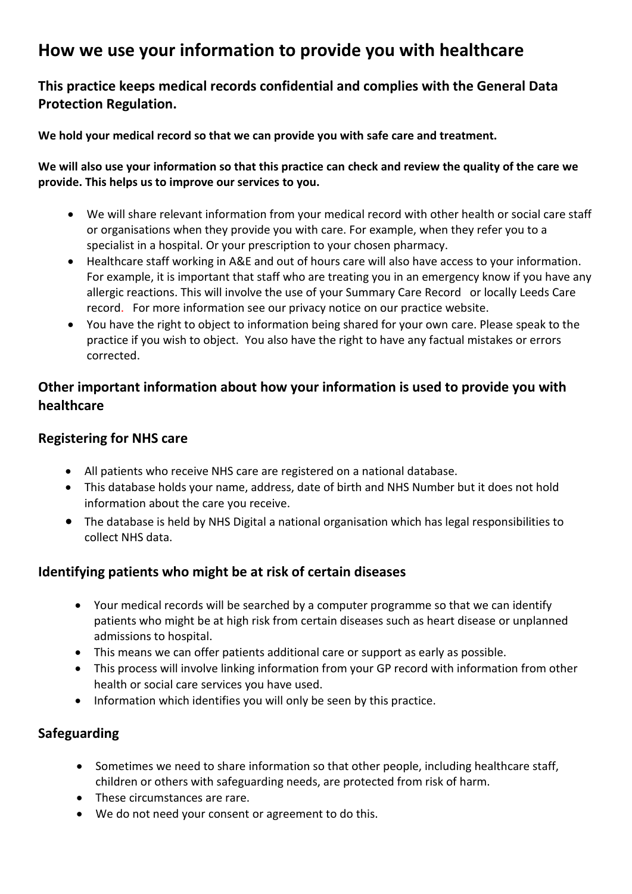# **How we use your information to provide you with healthcare**

# **This practice keeps medical records confidential and complies with the General Data Protection Regulation.**

**We hold your medical record so that we can provide you with safe care and treatment.** 

#### **We will also use your information so that this practice can check and review the quality of the care we provide. This helps us to improve our services to you.**

- We will share relevant information from your medical record with other health or social care staff or organisations when they provide you with care. For example, when they refer you to a specialist in a hospital. Or your prescription to your chosen pharmacy.
- Healthcare staff working in A&E and out of hours care will also have access to your information. For example, it is important that staff who are treating you in an emergency know if you have any allergic reactions. This will involve the use of your Summary Care Record or locally Leeds Care record. For more information see our privacy notice on our practice website.
- You have the right to object to information being shared for your own care. Please speak to the practice if you wish to object. You also have the right to have any factual mistakes or errors corrected.

# **Other important information about how your information is used to provide you with healthcare**

#### **Registering for NHS care**

- All patients who receive NHS care are registered on a national database.
- This database holds your name, address, date of birth and NHS Number but it does not hold information about the care you receive.
- The database is held by NHS Digital a national organisation which has legal responsibilities to collect NHS data.

# **Identifying patients who might be at risk of certain diseases**

- Your medical records will be searched by a computer programme so that we can identify patients who might be at high risk from certain diseases such as heart disease or unplanned admissions to hospital.
- This means we can offer patients additional care or support as early as possible.
- This process will involve linking information from your GP record with information from other health or social care services you have used.
- Information which identifies you will only be seen by this practice.

# **Safeguarding**

- Sometimes we need to share information so that other people, including healthcare staff, children or others with safeguarding needs, are protected from risk of harm.
- These circumstances are rare.
- We do not need your consent or agreement to do this.